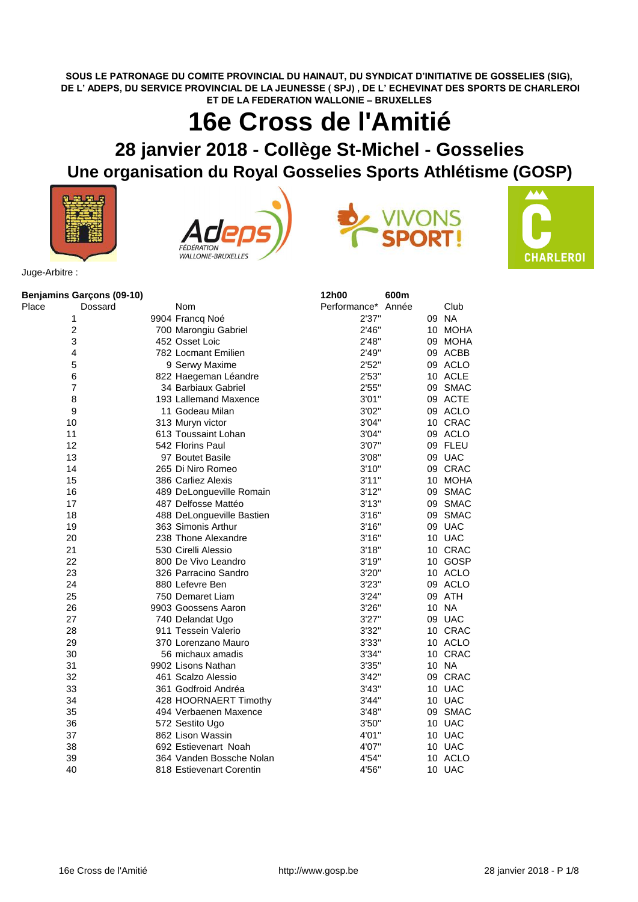**SOUS LE PATRONAGE DU COMITE PROVINCIAL DU HAINAUT, DU SYNDICAT D'INITIATIVE DE GOSSELIES (SIG), DE L' ADEPS, DU SERVICE PROVINCIAL DE LA JEUNESSE ( SPJ) , DE L' ECHEVINAT DES SPORTS DE CHARLEROI ET DE LA FEDERATION WALLONIE – BRUXELLES**

## **16e Cross de l'Amitié**

## **28 janvier 2018 - Collège St-Michel - Gosselies Une organisation du Royal Gosselies Sports Athlétisme (GOSP)**









Juge-Arbitre :

|                | Benjamins Garçons (09-10) |                           | 12h00              | 600m |         |
|----------------|---------------------------|---------------------------|--------------------|------|---------|
| Place          | Dossard                   | <b>Nom</b>                | Performance* Année |      | Club    |
| 1              |                           | 9904 Francq Noé           | 2'37"              |      | 09 NA   |
| $\overline{c}$ |                           | 700 Marongiu Gabriel      | 2'46"              |      | 10 MOHA |
| 3              |                           | 452 Osset Loic            | 2'48"              |      | 09 MOHA |
| 4              |                           | 782 Locmant Emilien       | 2'49"              |      | 09 ACBB |
| 5              |                           | 9 Serwy Maxime            | 2'52"              |      | 09 ACLO |
| 6              |                           | 822 Haegeman Léandre      | 2'53"              |      | 10 ACLE |
| $\overline{7}$ |                           | 34 Barbiaux Gabriel       | 2'55"              |      | 09 SMAC |
| 8              |                           | 193 Lallemand Maxence     | 3'01"              |      | 09 ACTE |
| 9              |                           | 11 Godeau Milan           | 3'02"              |      | 09 ACLO |
| 10             |                           | 313 Muryn victor          | 3'04"              |      | 10 CRAC |
| 11             |                           | 613 Toussaint Lohan       | 3'04"              |      | 09 ACLO |
| 12             |                           | 542 Florins Paul          | 3'07"              |      | 09 FLEU |
| 13             |                           | 97 Boutet Basile          | 3'08"              |      | 09 UAC  |
| 14             |                           | 265 Di Niro Romeo         | 3'10''             |      | 09 CRAC |
| 15             |                           | 386 Carliez Alexis        | 3'11''             |      | 10 MOHA |
| 16             |                           | 489 DeLongueville Romain  | 3'12"              |      | 09 SMAC |
| 17             |                           | 487 Delfosse Mattéo       | 3'13''             |      | 09 SMAC |
| 18             |                           | 488 DeLongueville Bastien | 3'16''             |      | 09 SMAC |
| 19             |                           | 363 Simonis Arthur        | 3'16"              |      | 09 UAC  |
| 20             |                           | 238 Thone Alexandre       | 3'16"              |      | 10 UAC  |
| 21             |                           | 530 Cirelli Alessio       | 3'18"              |      | 10 CRAC |
| 22             |                           | 800 De Vivo Leandro       | 3'19''             |      | 10 GOSP |
| 23             |                           | 326 Parracino Sandro      | 3'20"              |      | 10 ACLO |
| 24             |                           | 880 Lefevre Ben           | 3'23"              |      | 09 ACLO |
| 25             |                           | 750 Demaret Liam          | 3'24"              |      | 09 ATH  |
| 26             |                           | 9903 Goossens Aaron       | 3'26"              |      | 10 NA   |
| 27             |                           | 740 Delandat Ugo          | 3'27''             |      | 09 UAC  |
| 28             |                           | 911 Tessein Valerio       | 3'32"              |      | 10 CRAC |
| 29             |                           | 370 Lorenzano Mauro       | 3'33"              |      | 10 ACLO |
| 30             |                           | 56 michaux amadis         | 3'34"              |      | 10 CRAC |
| 31             |                           | 9902 Lisons Nathan        | 3'35"              |      | 10 NA   |
| 32             |                           | 461 Scalzo Alessio        | 3'42"              |      | 09 CRAC |
| 33             |                           | 361 Godfroid Andréa       | 3'43''             |      | 10 UAC  |
| 34             |                           | 428 HOORNAERT Timothy     | 3'44''             |      | 10 UAC  |
| 35             |                           | 494 Verbaenen Maxence     | 3'48"              |      | 09 SMAC |
| 36             |                           | 572 Sestito Ugo           | 3'50"              |      | 10 UAC  |
| 37             |                           | 862 Lison Wassin          | 4'01"              |      | 10 UAC  |
| 38             |                           | 692 Estievenart Noah      | 4'07"              |      | 10 UAC  |
| 39             |                           | 364 Vanden Bossche Nolan  | 4'54"              |      | 10 ACLO |
| 40             |                           | 818 Estievenart Corentin  | 4'56"              |      | 10 UAC  |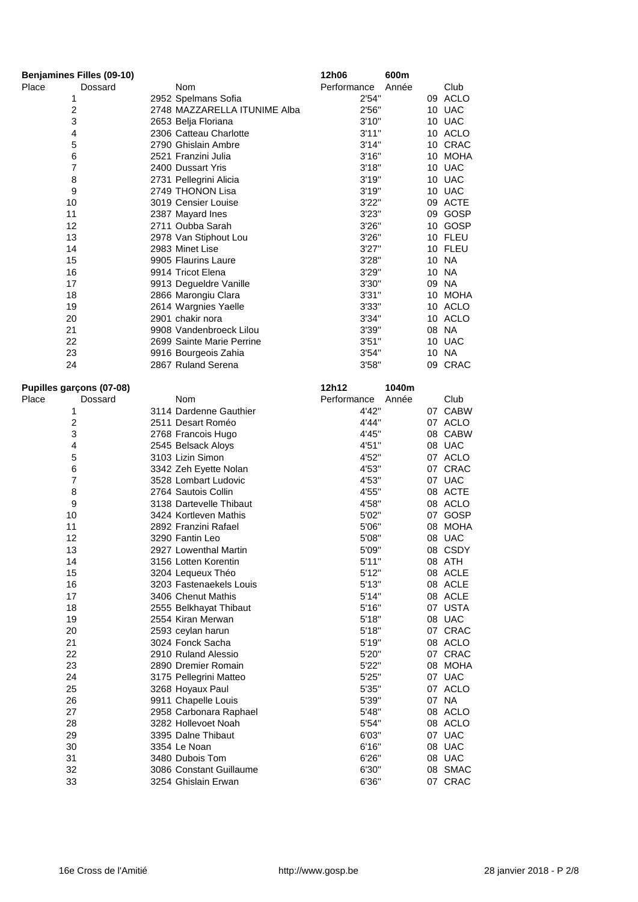| <b>Benjamines Filles (09-10)</b> |                                         | 12h06       | 600m  |         |
|----------------------------------|-----------------------------------------|-------------|-------|---------|
| Place<br>Dossard                 | Nom                                     | Performance | Année | Club    |
| 1                                | 2952 Spelmans Sofia                     | 2'54"       |       | 09 ACLO |
| $\overline{c}$                   | 2748 MAZZARELLA ITUNIME Alba            | 2'56"       |       | 10 UAC  |
| 3                                | 2653 Belja Floriana                     | 3'10''      |       | 10 UAC  |
| 4                                | 2306 Catteau Charlotte                  | 3'11''      |       | 10 ACLO |
| 5                                | 2790 Ghislain Ambre                     | 3'14"       |       | 10 CRAC |
| 6                                | 2521 Franzini Julia                     | 3'16''      |       | 10 MOHA |
| 7                                | 2400 Dussart Yris                       | 3'18"       |       | 10 UAC  |
| 8                                | 2731 Pellegrini Alicia                  | 3'19''      |       | 10 UAC  |
| 9                                | 2749 THONON Lisa                        | 3'19''      |       | 10 UAC  |
| 10                               | 3019 Censier Louise                     | 3'22"       |       | 09 ACTE |
| 11                               | 2387 Mayard Ines                        | 3'23''      |       | 09 GOSP |
| 12                               | 2711 Oubba Sarah                        | 3'26''      |       | 10 GOSP |
| 13                               | 2978 Van Stiphout Lou                   | 3'26"       |       | 10 FLEU |
| 14                               | 2983 Minet Lise                         | 3'27''      |       | 10 FLEU |
| 15                               | 9905 Flaurins Laure                     | 3'28"       |       | 10 NA   |
| 16                               | 9914 Tricot Elena                       | 3'29''      |       | 10 NA   |
| 17                               | 9913 Degueldre Vanille                  | 3'30"       |       | 09 NA   |
| 18                               | 2866 Marongiu Clara                     | 3'31''      |       | 10 MOHA |
| 19                               | 2614 Wargnies Yaelle                    | 3'33"       |       | 10 ACLO |
| 20                               | 2901 chakir nora                        | 3'34"       |       | 10 ACLO |
| 21                               | 9908 Vandenbroeck Lilou                 | 3'39"       |       | 08 NA   |
| 22                               | 2699 Sainte Marie Perrine               | 3'51''      |       | 10 UAC  |
| 23                               | 9916 Bourgeois Zahia                    | 3'54"       |       | 10 NA   |
| 24                               | 2867 Ruland Serena                      | 3'58"       |       | 09 CRAC |
|                                  |                                         |             |       |         |
| Pupilles garçons (07-08)         |                                         | 12h12       | 1040m |         |
| Place<br>Dossard                 | Nom                                     | Performance | Année | Club    |
| 1                                | 3114 Dardenne Gauthier                  | 4'42"       |       | 07 CABW |
| $\boldsymbol{2}$                 | 2511 Desart Roméo                       | 4'44"       |       | 07 ACLO |
| 3                                | 2768 Francois Hugo                      | 4'45"       |       | 08 CABW |
| 4                                | 2545 Belsack Aloys                      | 4'51"       |       | 08 UAC  |
| 5                                | 3103 Lizin Simon                        | 4'52"       |       | 07 ACLO |
| 6                                | 3342 Zeh Eyette Nolan                   | 4'53"       |       | 07 CRAC |
| $\overline{7}$                   | 3528 Lombart Ludovic                    | 4'53"       |       | 07 UAC  |
| 8                                | 2764 Sautois Collin                     | 4'55"       |       | 08 ACTE |
| 9                                | 3138 Dartevelle Thibaut                 | 4'58"       |       | 08 ACLO |
| 10                               | 3424 Kortleven Mathis                   | 5'02"       |       | 07 GOSP |
| 11                               | 2892 Franzini Rafael                    | 5'06"       |       | 08 MOHA |
| 12                               | 3290 Fantin Leo                         | 5'08"       |       | 08 UAC  |
| 13                               | 2927 Lowenthal Martin                   | 5'09"       |       | 08 CSDY |
| 14                               | 3156 Lotten Korentin                    | 5'11"       |       | 08 ATH  |
| 15                               | 3204 Lequeux Théo                       | 5'12"       |       | 08 ACLE |
| 16                               | 3203 Fastenaekels Louis                 | 5'13"       |       | 08 ACLE |
| 17                               | 3406 Chenut Mathis                      | 5'14"       |       | 08 ACLE |
| 18                               | 2555 Belkhayat Thibaut                  | 5'16"       |       | 07 USTA |
| 19                               | 2554 Kiran Merwan                       | 5'18"       |       | 08 UAC  |
| 20                               | 2593 ceylan harun                       | 5'18"       |       | 07 CRAC |
| 21                               | 3024 Fonck Sacha                        | 5'19"       |       | 08 ACLO |
| 22                               | 2910 Ruland Alessio                     | 5'20"       |       | 07 CRAC |
| 23                               | 2890 Dremier Romain                     | 5'22"       |       | 08 MOHA |
| 24                               | 3175 Pellegrini Matteo                  | 5'25"       |       | 07 UAC  |
| 25                               |                                         | 5'35"       |       | 07 ACLO |
| 26                               | 3268 Hoyaux Paul<br>9911 Chapelle Louis | 5'39"       |       | 07 NA   |
| 27                               |                                         |             |       | 08 ACLO |
| 28                               | 2958 Carbonara Raphael                  | 5'48"       |       |         |
|                                  | 3282 Hollevoet Noah                     | 5'54"       |       | 08 ACLO |
| 29                               | 3395 Dalne Thibaut                      | 6'03"       |       | 07 UAC  |
| 30                               | 3354 Le Noan                            | 6'16"       |       | 08 UAC  |
| 31                               | 3480 Dubois Tom                         | 6'26"       |       | 08 UAC  |
| 32                               | 3086 Constant Guillaume                 | 6'30"       |       | 08 SMAC |
| 33                               | 3254 Ghislain Erwan                     | 6'36"       |       | 07 CRAC |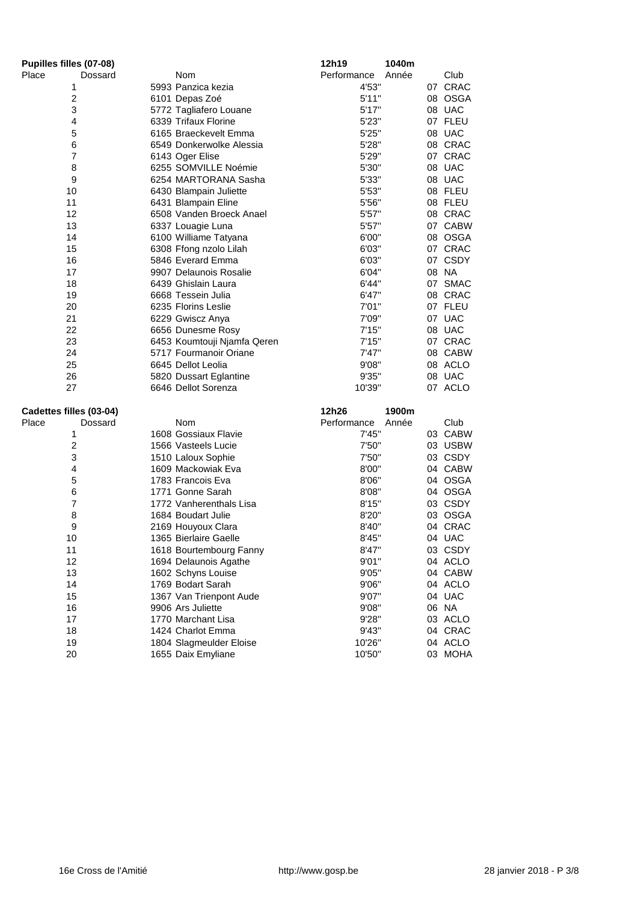| Pupilles filles (07-08) |         |                             | 12h19       | 1040m |         |
|-------------------------|---------|-----------------------------|-------------|-------|---------|
| Place                   | Dossard | Nom                         | Performance | Année | Club    |
| 1                       |         | 5993 Panzica kezia          | 4'53"       |       | 07 CRAC |
| $\boldsymbol{2}$        |         | 6101 Depas Zoé              | 5'11"       |       | 08 OSGA |
| 3                       |         | 5772 Tagliafero Louane      | 5'17''      |       | 08 UAC  |
| 4                       |         | 6339 Trifaux Florine        | 5'23''      |       | 07 FLEU |
| 5                       |         | 6165 Braeckevelt Emma       | 5'25"       |       | 08 UAC  |
| 6                       |         | 6549 Donkerwolke Alessia    | 5'28"       |       | 08 CRAC |
| $\overline{7}$          |         | 6143 Oger Elise             | 5'29"       |       | 07 CRAC |
| 8                       |         | 6255 SOMVILLE Noémie        | 5'30"       |       | 08 UAC  |
| 9                       |         | 6254 MARTORANA Sasha        | 5'33"       |       | 08 UAC  |
| 10                      |         | 6430 Blampain Juliette      | 5'53"       |       | 08 FLEU |
| 11                      |         | 6431 Blampain Eline         | 5'56"       |       | 08 FLEU |
| 12                      |         | 6508 Vanden Broeck Anael    | 5'57''      |       | 08 CRAC |
| 13                      |         | 6337 Louagie Luna           | 5'57"       |       | 07 CABW |
| 14                      |         | 6100 Williame Tatyana       | 6'00"       |       | 08 OSGA |
| 15                      |         | 6308 Ffong nzolo Lilah      | 6'03"       |       | 07 CRAC |
| 16                      |         | 5846 Everard Emma           | 6'03"       |       | 07 CSDY |
| 17                      |         | 9907 Delaunois Rosalie      | 6'04"       |       | 08 NA   |
| 18                      |         | 6439 Ghislain Laura         | 6'44"       |       | 07 SMAC |
| 19                      |         | 6668 Tessein Julia          | 6'47"       |       | 08 CRAC |
| 20                      |         | 6235 Florins Leslie         | 7'01"       |       | 07 FLEU |
| 21                      |         | 6229 Gwiscz Anya            | 7'09"       |       | 07 UAC  |
| 22                      |         | 6656 Dunesme Rosy           | 7'15"       |       | 08 UAC  |
| 23                      |         | 6453 Koumtouji Njamfa Qeren | 7'15"       |       | 07 CRAC |
| 24                      |         | 5717 Fourmanoir Oriane      | 7'47"       |       | 08 CABW |
| 25                      |         | 6645 Dellot Leolia          | 9'08"       |       | 08 ACLO |
| 26                      |         | 5820 Dussart Eglantine      | 9'35"       |       | 08 UAC  |
| 27                      |         | 6646 Dellot Sorenza         | 10'39"      |       | 07 ACLO |
| Cadettes filles (03-04) |         |                             | 12h26       | 1900m |         |
| Place                   | Dossard | <b>Nom</b>                  | Performance | Année | Club    |
| 1                       |         | 1608 Gossiaux Flavie        | 7'45"       |       | 03 CABW |
| $\boldsymbol{2}$        |         | 1566 Vasteels Lucie         | 7'50"       |       | 03 USBW |
| 3                       |         | 1510 Laloux Sophie          | 7'50"       |       | 03 CSDY |
| 4                       |         | 1609 Mackowiak Eva          | 8'00"       |       | 04 CABW |
| 5                       |         | 1783 Francois Eva           | 8'06"       |       | 04 OSGA |
| 6                       |         | 1771 Gonne Sarah            | 8'08"       |       | 04 OSGA |
| $\overline{7}$          |         | 1772 Vanherenthals Lisa     | 8'15"       |       | 03 CSDY |
| 8                       |         | 1684 Boudart Julie          | 8'20"       |       | 03 OSGA |
| 9                       |         | 2169 Houyoux Clara          | 8'40"       |       | 04 CRAC |
| 10                      |         | 1365 Bierlaire Gaelle       | 8'45"       |       | 04 UAC  |
| 11                      |         | 1618 Bourtembourg Fanny     | 8'47"       |       | 03 CSDY |
| 12                      |         | 1694 Delaunois Agathe       | 9'01"       |       | 04 ACLO |
| 13                      |         | 1602 Schyns Louise          | 9'05"       |       | 04 CABW |
| 14                      |         | 1769 Bodart Sarah           | 9'06"       |       | 04 ACLO |
| 15                      |         | 1367 Van Trienpont Aude     | 9'07"       |       | 04 UAC  |
| 16                      |         | 9906 Ars Juliette           | 9'08"       |       | 06 NA   |
| 17                      |         | 1770 Marchant Lisa          | 9'28"       |       | 03 ACLO |
| 18                      |         | 1424 Charlot Emma           | 9'43"       |       | 04 CRAC |
| 19                      |         | 1804 Slagmeulder Eloise     | 10'26"      |       | 04 ACLO |
| 20                      |         | 1655 Daix Emyliane          | 10'50"      |       | 03 MOHA |
|                         |         |                             |             |       |         |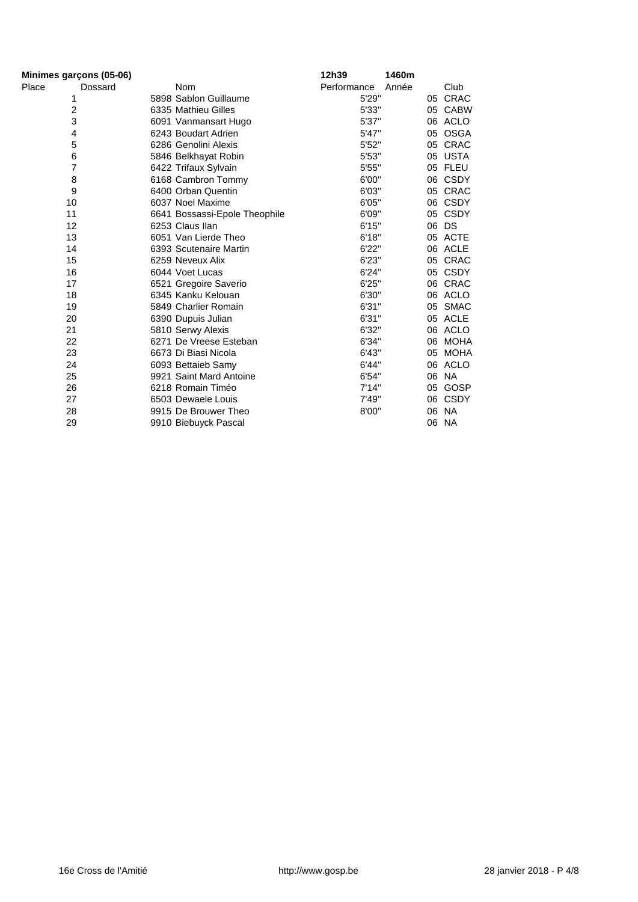| Minimes garçons (05-06) |         |                               | 12h39       | 1460m |    |             |
|-------------------------|---------|-------------------------------|-------------|-------|----|-------------|
| Place                   | Dossard | <b>Nom</b>                    | Performance | Année |    | Club        |
| 1                       |         | 5898 Sablon Guillaume         | 5'29"       |       |    | 05 CRAC     |
| 2                       |         | 6335 Mathieu Gilles           | 5'33"       |       |    | 05 CABW     |
| 3                       |         | 6091 Vanmansart Hugo          | 5'37"       |       |    | 06 ACLO     |
| 4                       |         | 6243 Boudart Adrien           | 5'47"       |       |    | 05 OSGA     |
| 5                       |         | 6286 Genolini Alexis          | 5'52"       |       |    | 05 CRAC     |
| 6                       |         | 5846 Belkhayat Robin          | 5'53"       |       |    | 05 USTA     |
| 7                       |         | 6422 Trifaux Sylvain          | 5'55"       |       |    | 05 FLEU     |
| 8                       |         | 6168 Cambron Tommy            | 6'00"       |       |    | 06 CSDY     |
| 9                       |         | 6400 Orban Quentin            | 6'03"       |       |    | 05 CRAC     |
| 10                      |         | 6037 Noel Maxime              | 6'05"       |       | 06 | <b>CSDY</b> |
| 11                      |         | 6641 Bossassi-Epole Theophile | 6'09"       |       |    | 05 CSDY     |
| 12                      |         | 6253 Claus Ilan               | 6'15"       |       |    | 06 DS       |
| 13                      |         | 6051 Van Lierde Theo          | 6'18"       |       |    | 05 ACTE     |
| 14                      |         | 6393 Scutenaire Martin        | 6'22"       |       |    | 06 ACLE     |
| 15                      |         | 6259 Neveux Alix              | 6'23"       |       |    | 05 CRAC     |
| 16                      |         | 6044 Voet Lucas               | 6'24"       |       |    | 05 CSDY     |
| 17                      |         | 6521 Gregoire Saverio         | 6'25"       |       |    | 06 CRAC     |
| 18                      |         | 6345 Kanku Kelouan            | 6'30"       |       |    | 06 ACLO     |
| 19                      |         | 5849 Charlier Romain          | 6'31"       |       |    | 05 SMAC     |
| 20                      |         | 6390 Dupuis Julian            | 6'31"       |       |    | 05 ACLE     |
| 21                      |         | 5810 Serwy Alexis             | 6'32"       |       |    | 06 ACLO     |
| 22                      |         | 6271 De Vreese Esteban        | 6'34"       |       |    | 06 MOHA     |
| 23                      |         | 6673 Di Biasi Nicola          | 6'43"       |       | 05 | <b>MOHA</b> |
| 24                      |         | 6093 Bettaieb Samy            | 6'44"       |       |    | 06 ACLO     |
| 25                      |         | 9921 Saint Mard Antoine       | 6'54"       |       |    | 06 NA       |
| 26                      |         | 6218 Romain Timéo             | 7'14"       |       |    | 05 GOSP     |
| 27                      |         | 6503 Dewaele Louis            | 7'49"       |       |    | 06 CSDY     |
| 28                      |         | 9915 De Brouwer Theo          | 8'00"       |       |    | 06 NA       |
| 29                      |         | 9910 Biebuyck Pascal          |             |       |    | 06 NA       |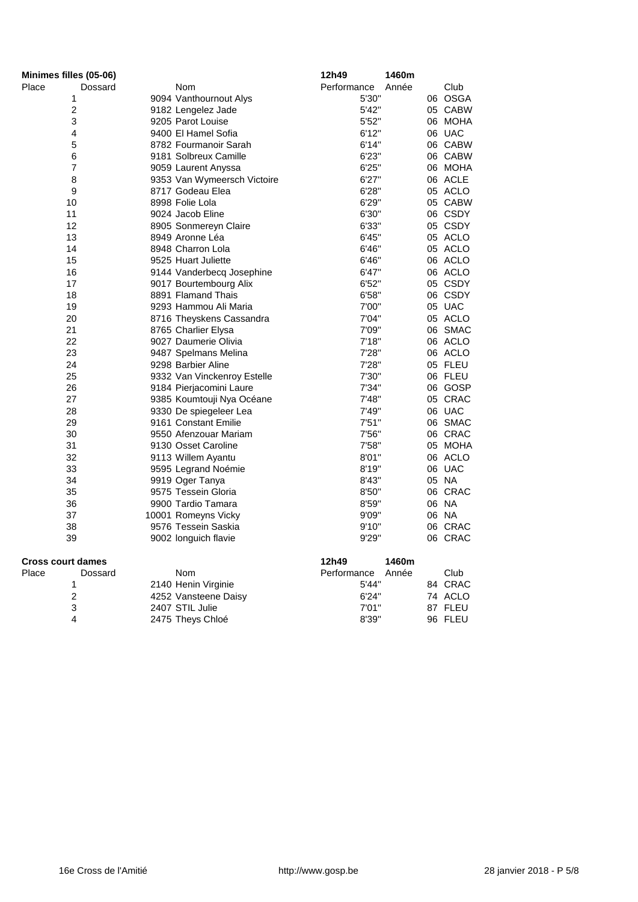| Minimes filles (05-06)   |                             | 12h49       | 1460m |         |
|--------------------------|-----------------------------|-------------|-------|---------|
| Place<br>Dossard         | Nom                         | Performance | Année | Club    |
| 1                        | 9094 Vanthournout Alys      | 5'30"       |       | 06 OSGA |
| 2                        | 9182 Lengelez Jade          | 5'42"       |       | 05 CABW |
| 3                        | 9205 Parot Louise           | 5'52"       |       | 06 MOHA |
| 4                        | 9400 El Hamel Sofia         | 6'12"       |       | 06 UAC  |
| 5                        | 8782 Fourmanoir Sarah       | 6'14"       |       | 06 CABW |
| 6                        | 9181 Solbreux Camille       | 6'23"       |       | 06 CABW |
| $\overline{7}$           | 9059 Laurent Anyssa         | 6'25''      |       | 06 MOHA |
| 8                        | 9353 Van Wymeersch Victoire | 6'27''      |       | 06 ACLE |
| 9                        | 8717 Godeau Elea            | 6'28"       |       | 05 ACLO |
| 10                       | 8998 Folie Lola             | 6'29"       |       | 05 CABW |
| 11                       | 9024 Jacob Eline            | 6'30"       |       | 06 CSDY |
| 12                       | 8905 Sonmereyn Claire       | 6'33"       |       | 05 CSDY |
| 13                       | 8949 Aronne Léa             | 6'45"       |       | 05 ACLO |
| 14                       | 8948 Charron Lola           | 6'46"       |       | 05 ACLO |
| 15                       | 9525 Huart Juliette         | 6'46"       |       | 06 ACLO |
| 16                       | 9144 Vanderbecq Josephine   | 6'47''      |       | 06 ACLO |
| 17                       | 9017 Bourtembourg Alix      | 6'52"       |       | 05 CSDY |
| 18                       | 8891 Flamand Thais          | 6'58"       |       | 06 CSDY |
| 19                       | 9293 Hammou Ali Maria       | 7'00"       |       | 05 UAC  |
| 20                       | 8716 Theyskens Cassandra    | 7'04"       |       | 05 ACLO |
| 21                       | 8765 Charlier Elysa         | 7'09"       |       | 06 SMAC |
| 22                       | 9027 Daumerie Olivia        | 7'18"       |       | 06 ACLO |
| 23                       | 9487 Spelmans Melina        | 7'28"       |       | 06 ACLO |
| 24                       | 9298 Barbier Aline          | 7'28"       |       | 05 FLEU |
| 25                       | 9332 Van Vinckenroy Estelle | 7'30"       |       | 06 FLEU |
| 26                       | 9184 Pierjacomini Laure     | 7'34"       |       | 06 GOSP |
| 27                       | 9385 Koumtouji Nya Océane   | 7'48"       |       | 05 CRAC |
| 28                       | 9330 De spiegeleer Lea      | 7'49"       |       | 06 UAC  |
| 29                       | 9161 Constant Emilie        | 7'51''      |       | 06 SMAC |
| 30                       | 9550 Afenzouar Mariam       | 7'56"       |       | 06 CRAC |
| 31                       | 9130 Osset Caroline         | 7'58"       |       | 05 MOHA |
| 32                       | 9113 Willem Ayantu          | 8'01"       |       | 06 ACLO |
| 33                       | 9595 Legrand Noémie         | 8'19"       |       | 06 UAC  |
| 34                       | 9919 Oger Tanya             | 8'43"       |       | 05 NA   |
| 35                       | 9575 Tessein Gloria         | 8'50"       |       | 06 CRAC |
| 36                       | 9900 Tardio Tamara          | 8'59"       |       | 06 NA   |
| 37                       | 10001 Romeyns Vicky         | 9'09"       |       | 06 NA   |
| 38                       | 9576 Tessein Saskia         | 9'10"       |       | 06 CRAC |
| 39                       | 9002 longuich flavie        | 9'29"       |       | 06 CRAC |
| <b>Cross court dames</b> |                             | 12h49       | 1460m |         |
| Place<br>Dossard         | Nom                         | Performance | Année | Club    |
| 1                        | 2140 Henin Virginie         | 5'44"       |       | 84 CRAC |
| 2                        | 4252 Vansteene Daisy        | 6'24"       |       | 74 ACLO |
| 3                        | 2407 STIL Julie             | 7'01"       |       | 87 FLEU |
| 4                        | 2475 Theys Chloé            | 8'39"       |       | 96 FLEU |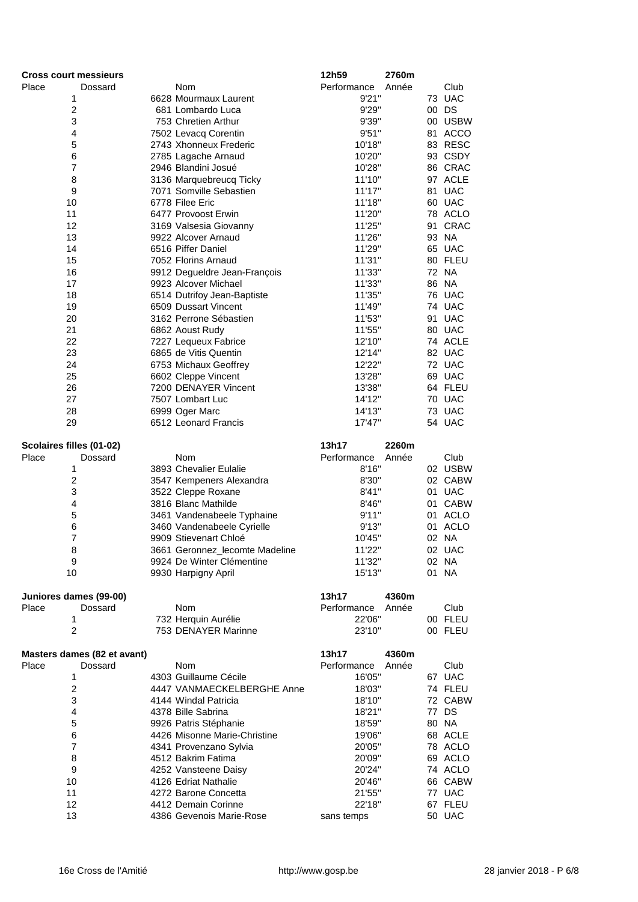| <b>Cross court messieurs</b> |                             |                                                      | 12h59            | 2760m |                  |
|------------------------------|-----------------------------|------------------------------------------------------|------------------|-------|------------------|
| Place                        | Dossard                     | Nom                                                  | Performance      | Année | Club             |
| 1                            |                             | 6628 Mourmaux Laurent                                | 9'21''           |       | 73 UAC           |
| $\boldsymbol{2}$             |                             | 681 Lombardo Luca                                    | 9'29"            |       | 00 DS            |
| 3                            |                             | 753 Chretien Arthur                                  | 9'39"            |       | 00 USBW          |
| 4                            |                             | 7502 Levacq Corentin                                 | 9'51"            |       | 81 ACCO          |
| 5                            |                             | 2743 Xhonneux Frederic                               | 10'18"           |       | 83 RESC          |
| 6                            |                             | 2785 Lagache Arnaud                                  | 10'20"           |       | 93 CSDY          |
| $\overline{7}$               |                             | 2946 Blandini Josué                                  | 10'28"           |       | 86 CRAC          |
| 8                            |                             | 3136 Marquebreucq Ticky                              | 11'10"           |       | 97 ACLE          |
| 9                            |                             | 7071 Somville Sebastien                              | 11'17"           |       | 81 UAC           |
| 10                           |                             | 6778 Filee Eric                                      | 11'18"           |       | 60 UAC           |
| 11                           |                             | 6477 Provoost Erwin                                  | 11'20"           |       | 78 ACLO          |
| 12<br>13                     |                             | 3169 Valsesia Giovanny                               | 11'25"           |       | 91 CRAC<br>93 NA |
| 14                           |                             | 9922 Alcover Arnaud<br>6516 Piffer Daniel            | 11'26"<br>11'29" |       | 65 UAC           |
| 15                           |                             | 7052 Florins Arnaud                                  | 11'31"           |       | 80 FLEU          |
| 16                           |                             |                                                      | 11'33"           |       | 72 NA            |
| 17                           |                             | 9912 Degueldre Jean-François<br>9923 Alcover Michael | 11'33"           |       | 86 NA            |
| 18                           |                             | 6514 Dutrifoy Jean-Baptiste                          | 11'35"           |       | 76 UAC           |
| 19                           |                             | 6509 Dussart Vincent                                 | 11'49"           |       | 74 UAC           |
| 20                           |                             | 3162 Perrone Sébastien                               | 11'53"           |       | 91 UAC           |
| 21                           |                             | 6862 Aoust Rudy                                      | 11'55"           |       | 80 UAC           |
| 22                           |                             | 7227 Lequeux Fabrice                                 | 12'10"           |       | 74 ACLE          |
| 23                           |                             | 6865 de Vitis Quentin                                | 12'14"           |       | 82 UAC           |
| 24                           |                             | 6753 Michaux Geoffrey                                | 12'22"           |       | 72 UAC           |
| 25                           |                             | 6602 Cleppe Vincent                                  | 13'28"           |       | 69 UAC           |
| 26                           |                             | 7200 DENAYER Vincent                                 | 13'38"           |       | 64 FLEU          |
| 27                           |                             | 7507 Lombart Luc                                     | 14'12"           |       | 70 UAC           |
| 28                           |                             | 6999 Oger Marc                                       | 14'13"           |       | 73 UAC           |
| 29                           |                             | 6512 Leonard Francis                                 | 17'47"           |       | 54 UAC           |
|                              |                             |                                                      |                  |       |                  |
| Scolaires filles (01-02)     |                             |                                                      | 13h17            | 2260m |                  |
| Place                        | Dossard                     | Nom                                                  | Performance      | Année | Club             |
| 1                            |                             | 3893 Chevalier Eulalie                               | 8'16"            |       | 02 USBW          |
| $\boldsymbol{2}$             |                             | 3547 Kempeners Alexandra                             | 8'30"            |       | 02 CABW          |
| 3                            |                             | 3522 Cleppe Roxane                                   | 8'41''           |       | 01 UAC           |
| 4                            |                             | 3816 Blanc Mathilde                                  | 8'46"            |       | 01 CABW          |
| 5                            |                             | 3461 Vandenabeele Typhaine                           | 9'11"            |       | 01 ACLO          |
| $\,6$                        |                             | 3460 Vandenabeele Cyrielle                           | 9'13"            |       | 01 ACLO          |
| $\overline{7}$               |                             | 9909 Stievenart Chloé                                | 10'45"           |       | 02 NA            |
| 8                            |                             | 3661 Geronnez_lecomte Madeline                       | 11'22"           |       | 02 UAC           |
| 9                            |                             | 9924 De Winter Clémentine                            | 11'32"           |       | 02 NA            |
| 10                           |                             | 9930 Harpigny April                                  | 15'13"           |       | 01 NA            |
|                              |                             |                                                      |                  |       |                  |
| Juniores dames (99-00)       |                             |                                                      | 13h17            | 4360m |                  |
| Place                        | Dossard                     | Nom                                                  | Performance      | Année | Club             |
| 1<br>$\overline{2}$          |                             | 732 Herquin Aurélie                                  | 22'06"           |       | 00 FLEU          |
|                              |                             | 753 DENAYER Marinne                                  | 23'10"           |       | 00 FLEU          |
|                              | Masters dames (82 et avant) |                                                      | 13h17            | 4360m |                  |
| Place                        | Dossard                     | Nom                                                  | Performance      | Année | Club             |
| 1                            |                             | 4303 Guillaume Cécile                                | 16'05"           |       | 67 UAC           |
| $\boldsymbol{2}$             |                             | 4447 VANMAECKELBERGHE Anne                           | 18'03"           |       | 74 FLEU          |
| 3                            |                             | 4144 Windal Patricia                                 | 18'10"           |       | 72 CABW          |
| 4                            |                             | 4378 Bille Sabrina                                   | 18'21"           |       | 77 DS            |
| 5                            |                             | 9926 Patris Stéphanie                                | 18'59"           |       | 80 NA            |
| 6                            |                             | 4426 Misonne Marie-Christine                         | 19'06"           |       | 68 ACLE          |
| $\overline{7}$               |                             | 4341 Provenzano Sylvia                               | 20'05"           |       | 78 ACLO          |
| 8                            |                             | 4512 Bakrim Fatima                                   | 20'09"           |       | 69 ACLO          |
| 9                            |                             | 4252 Vansteene Daisy                                 | 20'24"           |       | 74 ACLO          |
| 10                           |                             | 4126 Edriat Nathalie                                 | 20'46"           |       | 66 CABW          |
| 11                           |                             | 4272 Barone Concetta                                 | 21'55"           |       | 77 UAC           |
| 12                           |                             | 4412 Demain Corinne                                  | 22'18"           |       | 67 FLEU          |
| 13                           |                             | 4386 Gevenois Marie-Rose                             | sans temps       |       | 50 UAC           |
|                              |                             |                                                      |                  |       |                  |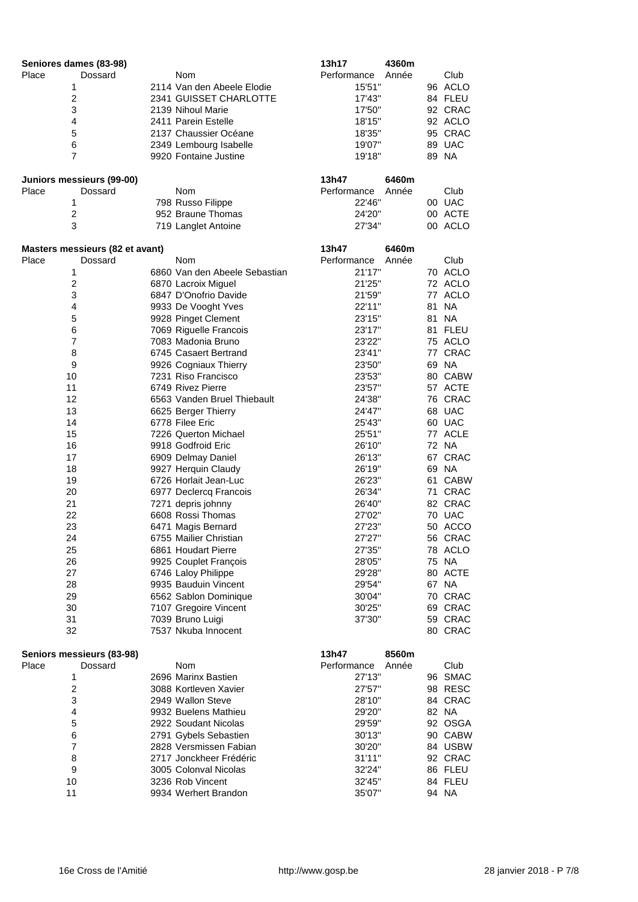| Seniores dames (83-98) |                                      |                               | 13h17            | 4360m |                    |
|------------------------|--------------------------------------|-------------------------------|------------------|-------|--------------------|
| Place                  | Dossard                              | Nom                           | Performance      | Année | Club               |
| 1                      |                                      | 2114 Van den Abeele Elodie    | 15'51"           |       | 96 ACLO            |
| $\mathbf 2$            |                                      | 2341 GUISSET CHARLOTTE        | 17'43"           |       | 84 FLEU            |
| 3                      |                                      | 2139 Nihoul Marie             | 17'50"           |       | 92 CRAC            |
| 4                      |                                      | 2411 Parein Estelle           | 18'15"           |       | 92 ACLO            |
| 5                      |                                      | 2137 Chaussier Océane         | 18'35"           |       | 95 CRAC            |
| 6                      |                                      | 2349 Lembourg Isabelle        | 19'07"           |       | 89 UAC             |
| 7                      |                                      | 9920 Fontaine Justine         | 19'18"           |       | 89 NA              |
|                        |                                      |                               |                  |       |                    |
|                        | Juniors messieurs (99-00)            |                               | 13h47            | 6460m |                    |
| Place                  | Dossard                              | Nom                           | Performance      | Année | Club               |
| 1                      |                                      | 798 Russo Filippe             | 22'46"           |       | 00 UAC             |
| $\boldsymbol{2}$       |                                      | 952 Braune Thomas             | 24'20"           |       | 00 ACTE            |
| 3                      |                                      | 719 Langlet Antoine           | 27'34"           |       | 00 ACLO            |
|                        | Masters messieurs (82 et avant)      |                               | 13h47            | 6460m |                    |
| Place                  | Dossard                              | <b>Nom</b>                    | Performance      | Année | Club               |
| 1                      |                                      | 6860 Van den Abeele Sebastian | 21'17"           |       | 70 ACLO            |
| $\boldsymbol{2}$       |                                      | 6870 Lacroix Miguel           | 21'25"           |       | 72 ACLO            |
| 3                      |                                      | 6847 D'Onofrio Davide         | 21'59"           |       | 77 ACLO            |
| 4                      |                                      | 9933 De Vooght Yves           | 22'11"           |       | 81 NA              |
| 5                      |                                      | 9928 Pinget Clement           | 23'15"           |       | 81 NA              |
| 6                      |                                      | 7069 Riguelle Francois        | 23'17"           |       | 81 FLEU            |
| $\overline{7}$         |                                      | 7083 Madonia Bruno            | 23'22"           |       | 75 ACLO            |
| 8                      |                                      | 6745 Casaert Bertrand         | 23'41"           |       | 77 CRAC            |
| $\boldsymbol{9}$       |                                      | 9926 Cogniaux Thierry         | 23'50"           |       | 69 NA              |
| 10                     |                                      | 7231 Riso Francisco           | 23'53"           |       | 80 CABW            |
| 11                     |                                      | 6749 Rivez Pierre             | 23'57"           |       | 57 ACTE            |
| 12                     |                                      | 6563 Vanden Bruel Thiebault   | 24'38"           |       | 76 CRAC            |
| 13                     |                                      | 6625 Berger Thierry           | 24'47"           |       | 68 UAC             |
| 14                     |                                      | 6778 Filee Eric               | 25'43"           |       | 60 UAC             |
| 15                     |                                      | 7226 Querton Michael          | 25'51"           |       | 77 ACLE            |
| 16                     |                                      | 9918 Godfroid Eric            | 26'10"           |       | 72 NA              |
| 17                     |                                      | 6909 Delmay Daniel            | 26'13"           |       | 67 CRAC            |
| 18                     |                                      | 9927 Herquin Claudy           | 26'19"           |       | 69 NA              |
| 19                     |                                      | 6726 Horlait Jean-Luc         | 26'23"           |       | 61 CABW            |
| 20                     |                                      | 6977 Declercq Francois        | 26'34"           |       | 71 CRAC            |
| 21                     |                                      | 7271 depris johnny            | 26'40"           |       | 82 CRAC            |
| 22                     |                                      | 6608 Rossi Thomas             | 27'02"           |       | 70 UAC             |
| 23                     |                                      | 6471 Magis Bernard            | 27'23"           |       | 50 ACCO            |
| 24                     |                                      | 6755 Mailier Christian        | 27'27"           |       | 56 CRAC            |
| 25                     |                                      | 6861 Houdart Pierre           | 27'35"           |       | 78 ACLO            |
| 26                     |                                      | 9925 Couplet François         | 28'05"           |       | 75 NA              |
| 27                     |                                      | 6746 Laloy Philippe           | 29'28"           |       | 80 ACTE            |
| 28                     |                                      | 9935 Bauduin Vincent          | 29'54"           |       | 67 NA              |
| 29                     |                                      | 6562 Sablon Dominique         | 30'04"           |       | 70 CRAC            |
| 30                     |                                      | 7107 Gregoire Vincent         | 30'25"           |       | 69 CRAC            |
| 31                     |                                      | 7039 Bruno Luigi              | 37'30"           |       | 59 CRAC            |
| 32                     |                                      | 7537 Nkuba Innocent           |                  |       | 80 CRAC            |
|                        |                                      |                               | 13h47            | 8560m |                    |
| Place                  | Seniors messieurs (83-98)<br>Dossard | Nom                           | Performance      | Année | Club               |
| 1                      |                                      | 2696 Marinx Bastien           | 27'13"           |       | 96 SMAC            |
| $\boldsymbol{2}$       |                                      | 3088 Kortleven Xavier         |                  |       |                    |
| 3                      |                                      | 2949 Wallon Steve             | 27'57"<br>28'10" |       | 98 RESC<br>84 CRAC |
| 4                      |                                      | 9932 Buelens Mathieu          | 29'20"           |       | 82 NA              |
| 5                      |                                      | 2922 Soudant Nicolas          | 29'59"           |       | 92 OSGA            |
| 6                      |                                      | 2791 Gybels Sebastien         | 30'13"           |       | 90 CABW            |
| 7                      |                                      | 2828 Versmissen Fabian        | 30'20"           |       | 84 USBW            |
| 8                      |                                      | 2717 Jonckheer Frédéric       | 31'11"           |       | 92 CRAC            |
| 9                      |                                      | 3005 Colonval Nicolas         | 32'24"           |       | 86 FLEU            |
| 10                     |                                      | 3236 Rob Vincent              | 32'45"           |       | 84 FLEU            |
| 11                     |                                      | 9934 Werhert Brandon          | 35'07"           |       | 94 NA              |
|                        |                                      |                               |                  |       |                    |